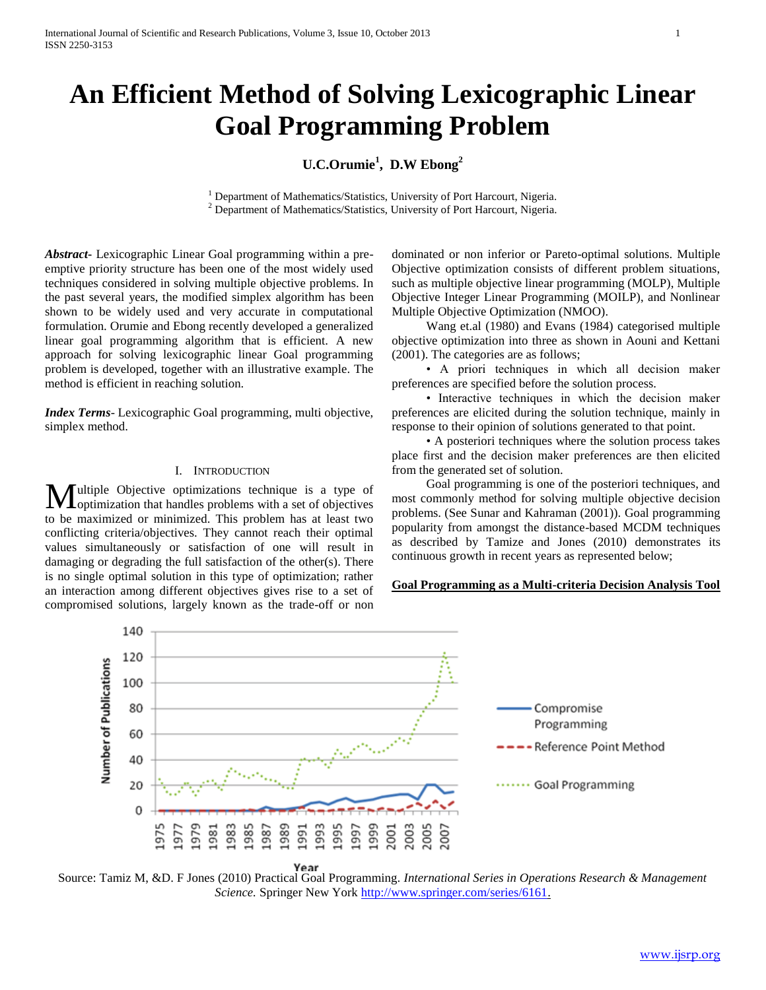# **An Efficient Method of Solving Lexicographic Linear Goal Programming Problem**

## **U.C.Orumie<sup>1</sup> , D.W Ebong<sup>2</sup>**

<sup>1</sup> Department of Mathematics/Statistics, University of Port Harcourt, Nigeria. <sup>2</sup> Department of Mathematics/Statistics, University of Port Harcourt, Nigeria.

*Abstract***-** Lexicographic Linear Goal programming within a preemptive priority structure has been one of the most widely used techniques considered in solving multiple objective problems. In the past several years, the modified simplex algorithm has been shown to be widely used and very accurate in computational formulation. Orumie and Ebong recently developed a generalized linear goal programming algorithm that is efficient. A new approach for solving lexicographic linear Goal programming problem is developed, together with an illustrative example. The method is efficient in reaching solution.

*Index Terms*- Lexicographic Goal programming, multi objective, simplex method.

#### I. INTRODUCTION

ultiple Objective optimizations technique is a type of **M**ultiple Objective optimizations technique is a type of objectives  $\mathbf{M}$ to be maximized or minimized. This problem has at least two conflicting criteria/objectives. They cannot reach their optimal values simultaneously or satisfaction of one will result in damaging or degrading the full satisfaction of the other(s). There is no single optimal solution in this type of optimization; rather an interaction among different objectives gives rise to a set of compromised solutions, largely known as the trade-off or non

dominated or non inferior or Pareto-optimal solutions. Multiple Objective optimization consists of different problem situations, such as multiple objective linear programming (MOLP), Multiple Objective Integer Linear Programming (MOILP), and Nonlinear Multiple Objective Optimization (NMOO).

 Wang et.al (1980) and Evans (1984) categorised multiple objective optimization into three as shown in Aouni and Kettani (2001). The categories are as follows;

 • A priori techniques in which all decision maker preferences are specified before the solution process.

 • Interactive techniques in which the decision maker preferences are elicited during the solution technique, mainly in response to their opinion of solutions generated to that point.

 • A posteriori techniques where the solution process takes place first and the decision maker preferences are then elicited from the generated set of solution.

 Goal programming is one of the posteriori techniques, and most commonly method for solving multiple objective decision problems. (See Sunar and Kahraman (2001)). Goal programming popularity from amongst the distance-based MCDM techniques as described by Tamize and Jones (2010) demonstrates its continuous growth in recent years as represented below;

#### **Goal Programming as a Multi-criteria Decision Analysis Tool**



Year Source: Tamiz M, &D. F Jones (2010) Practical Goal Programming*. International Series in Operations Research & Management Science.* Springer New York [http://www.springer.com/series/6161.](http://www.springer.com/series/6161)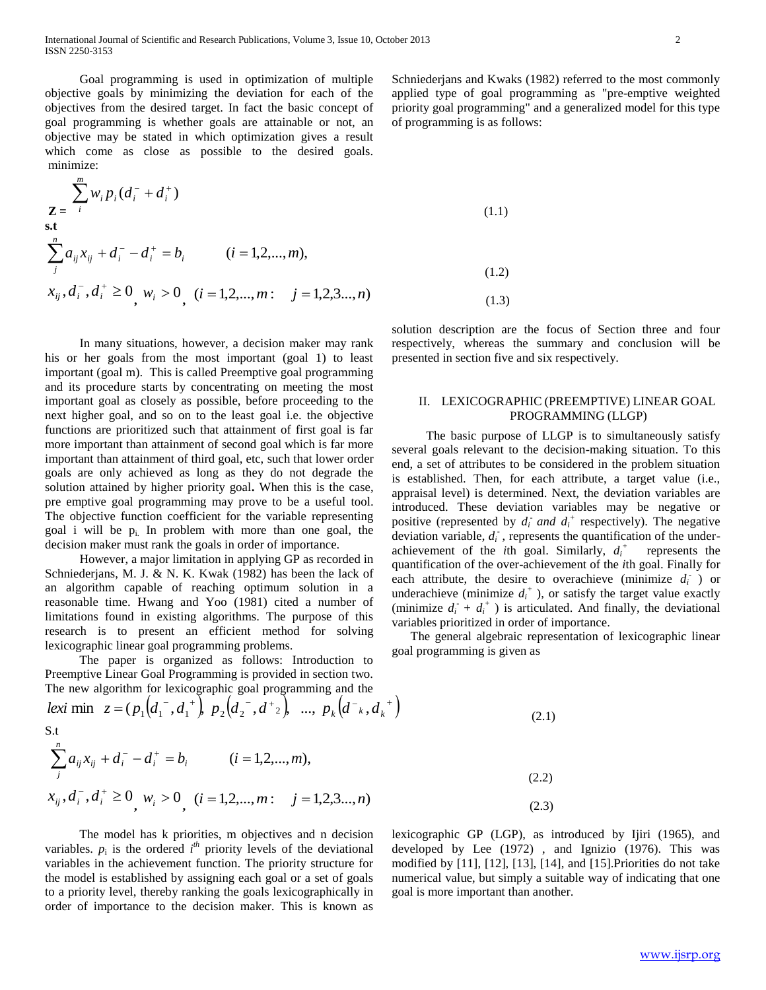Goal programming is used in optimization of multiple objective goals by minimizing the deviation for each of the objectives from the desired target. In fact the basic concept of goal programming is whether goals are attainable or not, an objective may be stated in which optimization gives a result which come as close as possible to the desired goals. minimize:

$$
\sum_{i}^{m} w_{i} p_{i} (d_{i}^{-} + d_{i}^{+})
$$
\n
$$
\sum_{j}^{n} a_{ij} x_{ij} + d_{i}^{-} - d_{i}^{+} = b_{i} \qquad (i = 1, 2, ..., m),
$$
\n
$$
x_{ij}, d_{i}^{-}, d_{i}^{+} \ge 0, w_{i} > 0, (i = 1, 2, ..., m); j = 1, 2, 3, ..., n)
$$
\n(1.2)

 In many situations, however, a decision maker may rank his or her goals from the most important (goal 1) to least important (goal m). This is called Preemptive goal programming and its procedure starts by concentrating on meeting the most important goal as closely as possible, before proceeding to the next higher goal, and so on to the least goal i.e. the objective functions are prioritized such that attainment of first goal is far more important than attainment of second goal which is far more important than attainment of third goal, etc, such that lower order goals are only achieved as long as they do not degrade the solution attained by higher priority goal**.** When this is the case, pre emptive goal programming may prove to be a useful tool. The objective function coefficient for the variable representing goal i will be  $p_i$ . In problem with more than one goal, the decision maker must rank the goals in order of importance.

 However, a major limitation in applying GP as recorded in Schniederjans, M. J. & N. K. Kwak (1982) has been the lack of an algorithm capable of reaching optimum solution in a reasonable time. Hwang and Yoo (1981) cited a number of limitations found in existing algorithms. The purpose of this research is to present an efficient method for solving lexicographic linear goal programming problems.

 The paper is organized as follows: Introduction to Preemptive Linear Goal Programming is provided in section two. The new algorithm for lexicographic goal programming and the

*k lexi* min  $z = (p_1(d_1^-, d_1^+), p_2(d_2^-, d_{2}^+), ..., p_k(d_{k}^-, d_{k}^+))$  (2.1) S.t

$$
\sum_{j}^{n} a_{ij} x_{ij} + d_{i}^{-} - d_{i}^{+} = b_{i} \qquad (i = 1, 2, ..., m),
$$
  
\n
$$
x_{ij}, d_{i}^{-}, d_{i}^{+} \ge 0, w_{i} > 0, (i = 1, 2, ..., m); j = 1, 2, 3 ..., n)
$$
  
\n(2.3)

 The model has k priorities, m objectives and n decision variables.  $p_i$  is the ordered  $i^{th}$  priority levels of the deviational variables in the achievement function. The priority structure for the model is established by assigning each goal or a set of goals to a priority level, thereby ranking the goals lexicographically in order of importance to the decision maker. This is known as

Schniederjans and Kwaks (1982) referred to the most commonly applied type of goal programming as "pre-emptive weighted priority goal programming" and a generalized model for this type of programming is as follows:

$$
(1.1)
$$
\n
$$
(1.2)
$$
\n
$$
(1.3)
$$

solution description are the focus of Section three and four respectively, whereas the summary and conclusion will be presented in section five and six respectively.

#### II. LEXICOGRAPHIC (PREEMPTIVE) LINEAR GOAL PROGRAMMING (LLGP)

 The basic purpose of LLGP is to simultaneously satisfy several goals relevant to the decision-making situation. To this end, a set of attributes to be considered in the problem situation is established. Then, for each attribute, a target value (i.e., appraisal level) is determined. Next, the deviation variables are introduced. These deviation variables may be negative or positive (represented by  $d_i$  and  $d_i$ <sup>+</sup> respectively). The negative deviation variable,  $d_i$ , represents the quantification of the underachievement of the *i*th goal. Similarly, *d<sup>i</sup>* represents the quantification of the over-achievement of the *i*th goal. Finally for each attribute, the desire to overachieve (minimize  $d_i$ ) or underachieve (minimize  $d_i^+$ ), or satisfy the target value exactly (minimize  $d_i + d_i^+$ ) is articulated. And finally, the deviational variables prioritized in order of importance.

 The general algebraic representation of lexicographic linear goal programming is given as

lexicographic GP (LGP), as introduced by Ijiri (1965), and developed by Lee (1972) , and Ignizio (1976). This was modified by [11], [12], [13], [14], and [15].Priorities do not take numerical value, but simply a suitable way of indicating that one goal is more important than another.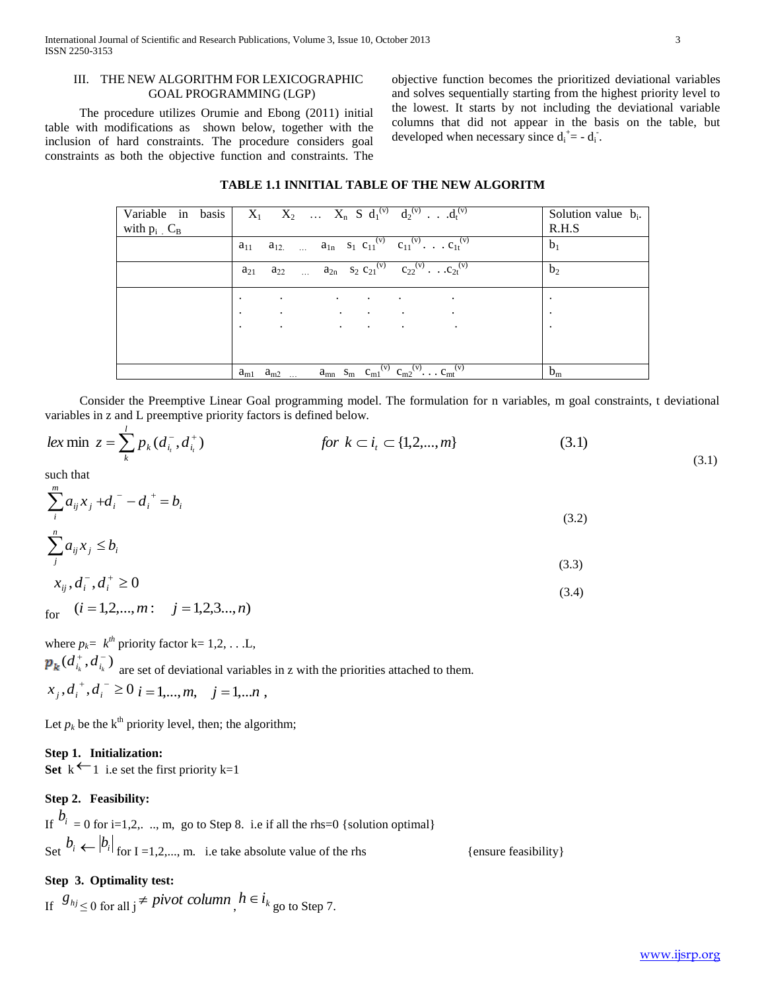#### III. THE NEW ALGORITHM FOR LEXICOGRAPHIC GOAL PROGRAMMING (LGP)

 The procedure utilizes Orumie and Ebong (2011) initial table with modifications as shown below, together with the inclusion of hard constraints. The procedure considers goal constraints as both the objective function and constraints. The objective function becomes the prioritized deviational variables and solves sequentially starting from the highest priority level to the lowest. It starts by not including the deviational variable columns that did not appear in the basis on the table, but developed when necessary since  $d_i^+ = -d_i^-$ .

#### **TABLE 1.1 INNITIAL TABLE OF THE NEW ALGORITM**

| with $p_i$ $C_B$ | Variable in basis   $X_1$ $X_2$ $X_n$ S $d_1^{(v)}$ $d_2^{(v)}$ $d_t^{(v)}$                                                               | Solution value $b_i$ .<br>R.H.S |
|------------------|-------------------------------------------------------------------------------------------------------------------------------------------|---------------------------------|
|                  | $a_{12}$ $a_{1n}$ $s_1$ $c_{11}^{(v)}$ $c_{11}^{(v)}$ $\overline{\cdot c_{1t}^{(v)}}$<br>$a_{11}$                                         | b <sub>1</sub>                  |
|                  | $a_{22}$ $a_{2n}$ $s_2$ $c_{21}^{(v)}$ $c_{22}^{(v)}$ $c_{21}^{(v)}$<br>$a_{21}$                                                          | b <sub>2</sub>                  |
|                  | $\sim$<br><b>Contract Contract</b><br>$\bullet$<br>$\bullet$<br>$\cdot$                                                                   | $\bullet$                       |
|                  | <b>Contract Advised</b><br>$\ddot{\phantom{1}}$<br>the contract of the contract of<br><b>Contractor</b><br>$\cdot$                        | $\bullet$                       |
|                  | the contract of the contract of the contract of<br>$\bullet$<br>$\cdot$                                                                   | $\cdot$                         |
|                  |                                                                                                                                           |                                 |
|                  | $a_{mn}$ S <sub>m</sub> C <sub>m1</sub> <sup>(v)</sup> C <sub>m2</sub> <sup>(v)</sup> C <sub>mt</sub> <sup>(v)</sup><br>$a_{m1}$ $a_{m2}$ | $b_m$                           |

 Consider the Preemptive Linear Goal programming model. The formulation for n variables, m goal constraints, t deviational variables in z and L preemptive priority factors is defined below.

$$
lex \min z = \sum_{k}^{l} p_k(d_{i_l}^-, d_{i_l}^+) \qquad \qquad \text{for } k \subset i_t \subset \{1, 2, ..., m\} \qquad (3.1)
$$

such that

$$
\sum_{i}^{m} a_{ij} x_j + d_i \bar{d}_i - d_i = b_i \tag{3.2}
$$

$$
\sum_{j}^{n} a_{ij} x_j \le b_i \tag{3.3}
$$

$$
x_{ij}, d_i, d_i^+ \ge 0 \tag{3.4}
$$

for 
$$
(i = 1, 2, \ldots, m: j = 1, 2, 3 \ldots, n)
$$

where  $p_k = k^{th}$  priority factor k= 1,2, . . .L,  $(d_i^+, d_i^-)$  $d_{i_k}^+, d_{i_k}^-$ ) are set of deviational variables in z with the priorities attached to them.  $x_j, d_i^+, d_i^- \ge 0$   $i = 1,...,m, j = 1,...n$ 

Let  $p_k$  be the k<sup>th</sup> priority level, then; the algorithm;

## **Step 1. Initialization:**

Set  $k \leftarrow 1$  i.e set the first priority  $k=1$ 

#### **Step 2. Feasibility:**

If 
$$
b_i = 0
$$
 for i=1,2, ..., m, go to Step 8. i.e. if all the rhs=0 {solution optimal}  
\nSet  $b_i \leftarrow |b_i|$  for I = 1,2,..., m. i.e. take absolute value of the rhs {ensure feasibility}

## **Step 3. Optimality test:**

If  $g_{hj} \leq 0$  for all  $j \neq pivot$  *column*,  $h \in i_{k}$  go to Step 7.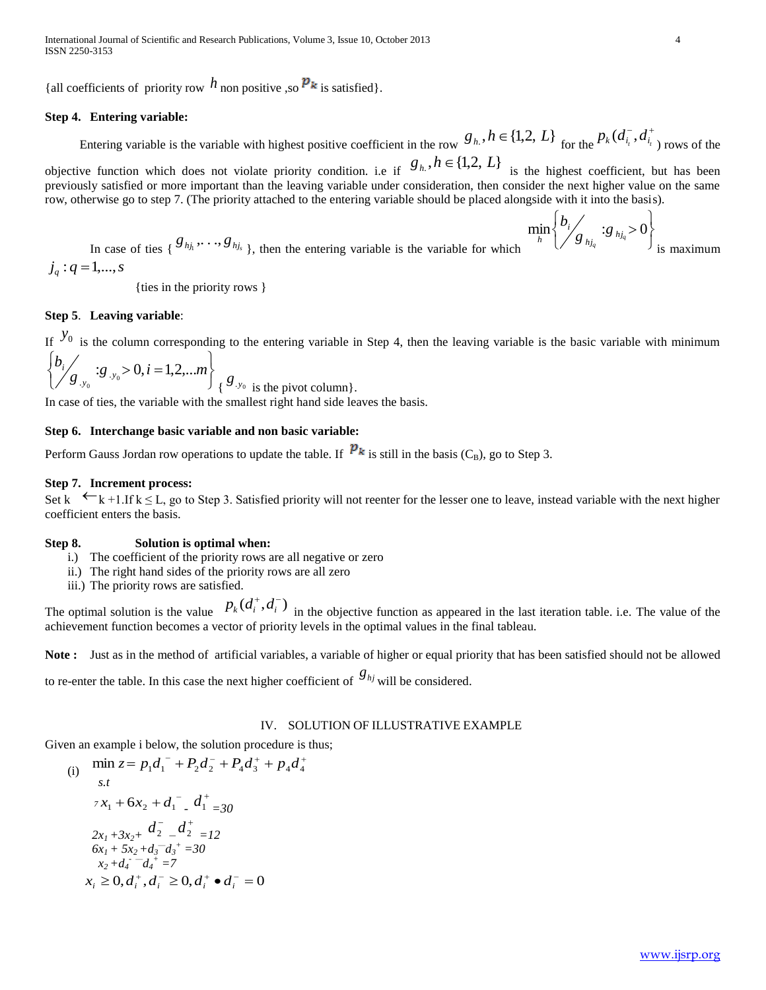International Journal of Scientific and Research Publications, Volume 3, Issue 10, October 2013 4 ISSN 2250-3153

{all coefficients of priority row  $h$  non positive ,so  $p_k$  is satisfied}.

#### **Step 4. Entering variable:**

#### Entering variable is the variable with highest positive coefficient in the row  $g_h$ ,  $h \in \{1,2, L\}$  for the  $J^+$  $p_k(d_{i_t}^-, d_{i_t}^+)$  rows of the

objective function which does not violate priority condition. i.e if  $g_h$ ,  $h \in \{1,2, L\}$  is the highest coefficient, but has been previously satisfied or more important than the leaving variable under consideration, then consider the next higher value on the same row, otherwise go to step 7. (The priority attached to the entering variable should be placed alongside with it into the basis).

In case of ties { 
$$
\mathcal{S}_{hj_1} \cdots \mathcal{S}_{hj_s}
$$
 }, then the entering variable is the variable for which  $j_q : q = 1,..., s$ 

{ties in the priority rows }

#### **Step 5**. **Leaving variable**:

If  $y_0$  is the column corresponding to the entering variable in Step 4, then the leaving variable is the basic variable with minimum

$$
\left\{\frac{b_i}{g_{y_0}}: g_{y_0} > 0, i = 1, 2, \dots m\right\} \n\left\{\n\frac{g_{y_0}}{g_{y_0}}\n\right\} \n\text{ is the pivot column.}
$$

In case of ties, the variable with the smallest right hand side leaves the basis.

#### **Step 6. Interchange basic variable and non basic variable:**

Perform Gauss Jordan row operations to update the table. If  $P_k$  is still in the basis (C<sub>B</sub>), go to Step 3.

#### **Step 7. Increment process:**

Set k  $\leftarrow k+1$ . If  $k \le L$ , go to Step 3. Satisfied priority will not reenter for the lesser one to leave, instead variable with the next higher coefficient enters the basis.

#### **Step 8. Solution is optimal when:**

- i.) The coefficient of the priority rows are all negative or zero
- ii.) The right hand sides of the priority rows are all zero
- iii.) The priority rows are satisfied.

The optimal solution is the value  $p_k(d_i^+, d_i^-)$  in the objective function as appeared in the last iteration table. i.e. The value of the achievement function becomes a vector of priority levels in the optimal values in the final tableau.

**Note :** Just as in the method of artificial variables, a variable of higher or equal priority that has been satisfied should not be allowed

to re-enter the table. In this case the next higher coefficient of  $g_{hj}$  will be considered.

### IV. SOLUTION OF ILLUSTRATIVE EXAMPLE

Given an example i below, the solution procedure is thus;

(i) 
$$
\min_{s,t} z = p_1 d_1^- + P_2 d_2^- + P_4 d_3^+ + p_4 d_4^+
$$
  
\ns.t  
\n
$$
7x_1 + 6x_2 + d_1^- \t d_1^+ = 30
$$
  
\n
$$
2x_1 + 3x_2 + d_2^- \t d_2^+ = 12
$$
  
\n
$$
6x_1 + 5x_2 + d_3^- \t d_3^+ = 30
$$
  
\n
$$
x_2 + d_4^- \t d_4^+ = 7
$$
  
\n
$$
x_i \ge 0, d_i^+, d_i^- \ge 0, d_i^+ \bullet d_i^- = 0
$$

J  $\left\{ \right.$  $\mathbf{I}$ 

is maximum

 $\overline{\mathcal{L}}$ ⇃

 $\min_{h} \left\{ \frac{b_{i}}{g}\right\} _{hj_{q}}$  :  $g_{hj_{q}} > 0$ *i*  $\lim_{h} \left\{ \frac{\nu_i}{g} \right\}_{h}$  :g *b*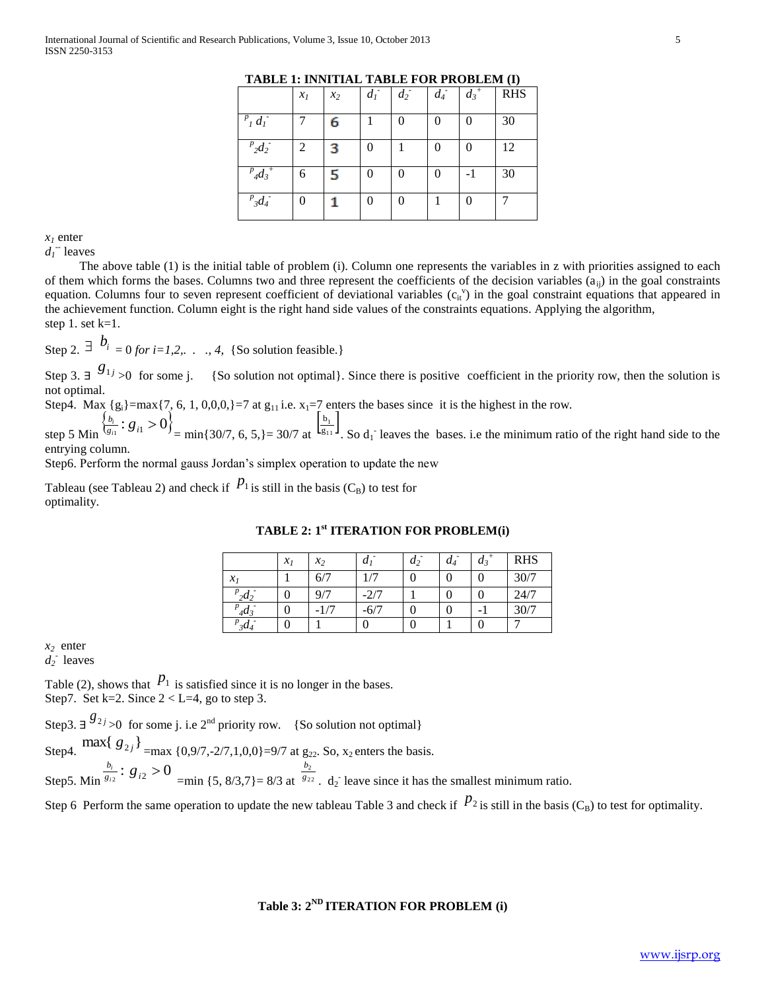|                                 | $x_I$ | $x_2$ | $d_I$ | $d_2$ | $d_4$          | $\overline{d_3}^+$ | <b>RHS</b> |
|---------------------------------|-------|-------|-------|-------|----------------|--------------------|------------|
| $P_{I} d_{I}$                   |       | 6     |       |       | 0              | 0                  | 30         |
| $^{p}2d_{2}$                    | 2     | з     | 0     |       | $\overline{0}$ | 0                  | 12         |
| $^{p}$ <sub>4</sub> $d_{3}^{+}$ | 6     | 5     | 0     |       | $\overline{0}$ | $-1$               | 30         |
| $P_{3}d_{4}$                    | 0     |       | 0     |       |                | 0                  |            |

**TABLE 1: INNITIAL TABLE FOR PROBLEM (I)**

#### $x<sub>l</sub>$  enter

 $d_I$ <sup>--</sup> leaves

 The above table (1) is the initial table of problem (i). Column one represents the variables in z with priorities assigned to each of them which forms the bases. Columns two and three represent the coefficients of the decision variables  $(a_{ij})$  in the goal constraints equation. Columns four to seven represent coefficient of deviational variables  $(c_{it}^{\prime})$  in the goal constraint equations that appeared in the achievement function. Column eight is the right hand side values of the constraints equations. Applying the algorithm, step 1. set  $k=1$ .

Step 2.  $\exists$   $\stackrel{1}{\rightarrow}$   $\stackrel{1}{\rightarrow}$   $\stackrel{1}{\rightarrow}$  *for i=1,2,..., 4,* {So solution feasible.}

Step 3.  $\exists$  <sup>*g*<sub>1j</sub></sup> >0 for some j. {So solution not optimal}. Since there is positive coefficient in the priority row, then the solution is not optimal.

Step4. Max  ${g_i}$ =max{7, 6, 1, 0,0,0,}=7 at  $g_{11}$  i.e.  $x_1$ =7 enters the bases since it is the highest in the row.

step 5 Min  $\frac{\left\{b_i\right\}}{g_{i1}}$ :  $g_{i1} > 0$ }  $\frac{b_i}{g_{i1}}$ :  $g$ *i* = min{30/7, 6, 5,} = 30/7 at  $\left[\frac{b_1}{g_{11}}\right]$ .  $\frac{0}{g_1}$ b . So  $d_1$  leaves the bases. i.e the minimum ratio of the right hand side to the entrying column.

Step6. Perform the normal gauss Jordan's simplex operation to update the new

Tableau (see Tableau 2) and check if  $P_1$  is still in the basis (C<sub>B</sub>) to test for optimality.

|               | $\mathcal{X}_I$ | $x_2$ | $\boldsymbol{a}$ | $d_2$ | $d_4$ | $d_3$ | <b>RHS</b> |
|---------------|-----------------|-------|------------------|-------|-------|-------|------------|
| $\mathcal{X}$ |                 | 6/7   |                  |       | 0     |       | 30/7       |
| $_{2}d_2$     |                 | 0/7   | 2/7              |       |       |       | 24/7       |
| $4d_3$        |                 | 1/7   |                  |       |       |       | 30/7       |
| $3d_4$        |                 |       |                  |       |       |       |            |

#### **TABLE 2: 1st ITERATION FOR PROBLEM(i)**

*x2* enter

 $d_2$ <sup>-</sup> leaves

Table (2), shows that  $P_1$  is satisfied since it is no longer in the bases. Step7. Set k=2. Since  $2 < L=4$ , go to step 3.

Step3.  $\exists$  <sup>*g*<sub>2*j*</sup> >0</sub> for some j. i.e 2<sup>nd</sup> priority row. {So solution not optimal}</sup>

Step4.  $\max\{g_{2j}\}_{\text{max}\{0,9/7,-2/7,1,0,0\}=9/7 \text{ at } g_{22}$ . So,  $x_2$  enters the basis.

Step5. Min  $\frac{b_i}{g_{i2}}$ :  $g_{i2} > 0$  $\frac{b_i}{3i_2}$ : *g i*  $=$ min {5, 8/3,7} $= 8/3$  at  $8^{22}$  $\frac{\nu_2}{g_2}$ *b*  $d_2$  leave since it has the smallest minimum ratio.

Step 6 Perform the same operation to update the new tableau Table 3 and check if  $P_2$  is still in the basis (C<sub>B</sub>) to test for optimality.

## **Table 3: 2ND ITERATION FOR PROBLEM (i)**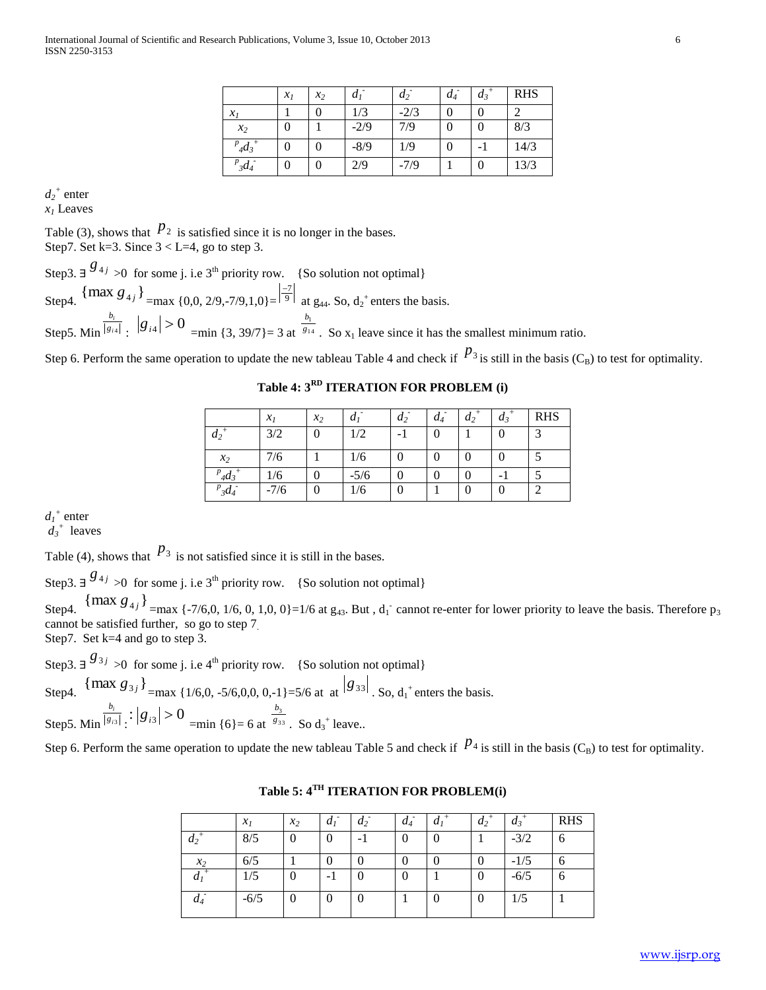|                  | $x_1$ | $x_2$          | $d_I$  | $d_2$  | $d_4$ | $d_3$ | <b>RHS</b> |
|------------------|-------|----------------|--------|--------|-------|-------|------------|
| $\mathcal{X}_I$  |       | 0              | 1/3    | $-2/3$ | 0     | 0     | っ          |
| $x_2$            | 0     |                | $-2/9$ | 7/9    | 0     | 0     | 8/3        |
| $p_{4}q_{3}^{+}$ | 0     | 0              | $-8/9$ | 1/9    | 0     |       | 14/3       |
| $P_{3}d_{4}$     |       | $\overline{0}$ | 2/9    | $-7/9$ |       | 0     | 13/3       |

 $d_2$ <sup>+</sup> enter *x<sup>1</sup>* Leaves

Table (3), shows that  $p_2$  is satisfied since it is no longer in the bases. Step7. Set k=3. Since  $3 < L=4$ , go to step 3.

Step3.  $\exists$  <sup>*g*<sub>4*j*</sup> >0</sub> for some j. i.e 3<sup>th</sup> priority row. {So solution not optimal}</sup>

Step4.  $\{\max g_{4j}\}_{\text{max } \{0,0, 2/9, -7/9, 1, 0\}} = \frac{|3/76}{9}$ at  $g_{44}$ . So,  $d_2$ <sup>+</sup> enters the basis. Step5. Min <sup>| g</sup><sub>i4</sub>  $\frac{v_i}{g_i}$ *b*  $\left| g_{i4} \right| > 0$  =min {3, 39/7} = 3 at  $\frac{b_1}{g_{14}}$  $\frac{v_1}{g_1}$ *b* . So  $x_1$  leave since it has the smallest minimum ratio.

Step 6. Perform the same operation to update the new tableau Table 4 and check if  $P_3$  is still in the basis (C<sub>B</sub>) to test for optimality.

**Table 4: 3RD ITERATION FOR PROBLEM (i)**

|              | $\mathcal{X}_I$ | $x_2$          | $a_i$  | $d_2$            | $d_4$ | $d_2$ | $d_3$                    | <b>RHS</b> |
|--------------|-----------------|----------------|--------|------------------|-------|-------|--------------------------|------------|
| $d_2$        | 3/2             | $\overline{0}$ | 1/2    | - 1              |       |       | $\boldsymbol{0}$         | $\sim$     |
| $x_2$        | 7/6             |                | 1/6    | 0                |       |       | $\boldsymbol{0}$         |            |
| $d_4$        | 1/6             | $\overline{0}$ | $-5/6$ | $\boldsymbol{0}$ | 0     |       | $\overline{\phantom{0}}$ |            |
| $P_{3}d_{4}$ | $-7/6$          | $\theta$       | 1/6    | 0                |       |       | $\boldsymbol{0}$         | $\sim$     |

 $d_I^+$  enter

 $d_3$ <sup>+</sup> leaves

Table (4), shows that  $P_3$  is not satisfied since it is still in the bases.

Step3.  $\exists$  <sup>*g*<sub>4*j*</sup> >0</sub> for some j. i.e 3<sup>th</sup> priority row. {So solution not optimal}</sup>

Step4.  ${\max g_{4j}}_{\text{max } {\{7/6,0, 1/6, 0, 1,0, 0\} = 1/6 \text{ at } g_{43}.\text{ But, } d_1 \text{' cannot re-enter for lower priority to leave the basis. Therefore p_3}}$ cannot be satisfied further, so go to step 7.

Step7. Set k=4 and go to step 3.

Step3.  $\exists$  <sup>*g*<sub>3*j*</sup> >0</sub> for some j. i.e 4<sup>th</sup> priority row. {So solution not optimal}</sup>

Step4.  $\{\text{max } g_{3j}\}_{\text{max } \{1/6, 0, -5/6, 0, 0, 0, -1\} = 5/6 \text{ at at } |g_{33}| \text{ so, } d_1^+ \text{ enters the basis.}$ Step5. Min <sup>| g</sup><sup>13</sup>  $\frac{v_i}{g_i}$ *b*  $\left| \frac{1}{s} \right| \left| \frac{g}{s^3} \right| > 0$  =min {6}= 6 at  $\frac{b_3}{g_{33}}$  $rac{v_3}{g_3}$ *b* . So  $d_3$ <sup>+</sup> leave..

Step 6. Perform the same operation to update the new tableau Table 5 and check if  $P_4$  is still in the basis (C<sub>B</sub>) to test for optimality.

|                | $x_I$  | $x_2$    | a <sub>1</sub> | a <sub>2</sub> | $d_4$          | a <sub>1</sub> | $d_2$          | $d_3$  | <b>RHS</b> |
|----------------|--------|----------|----------------|----------------|----------------|----------------|----------------|--------|------------|
| $a_2$          | 8/5    | $\theta$ |                | - 1            | $\overline{0}$ | 0              |                | $-3/2$ | 6          |
| $x_2$          | 6/5    |          |                |                | 0              |                | 0              | $-1/5$ | 6          |
| d <sub>1</sub> | 1/5    | 0        | - 1            | 0              | $\theta$       |                | $\overline{0}$ | $-6/5$ | 6          |
| $d_4$          | $-6/5$ | $\theta$ | 0              | 0              |                | 0              | 0              | 1/5    |            |

**Table 5: 4TH ITERATION FOR PROBLEM(i)**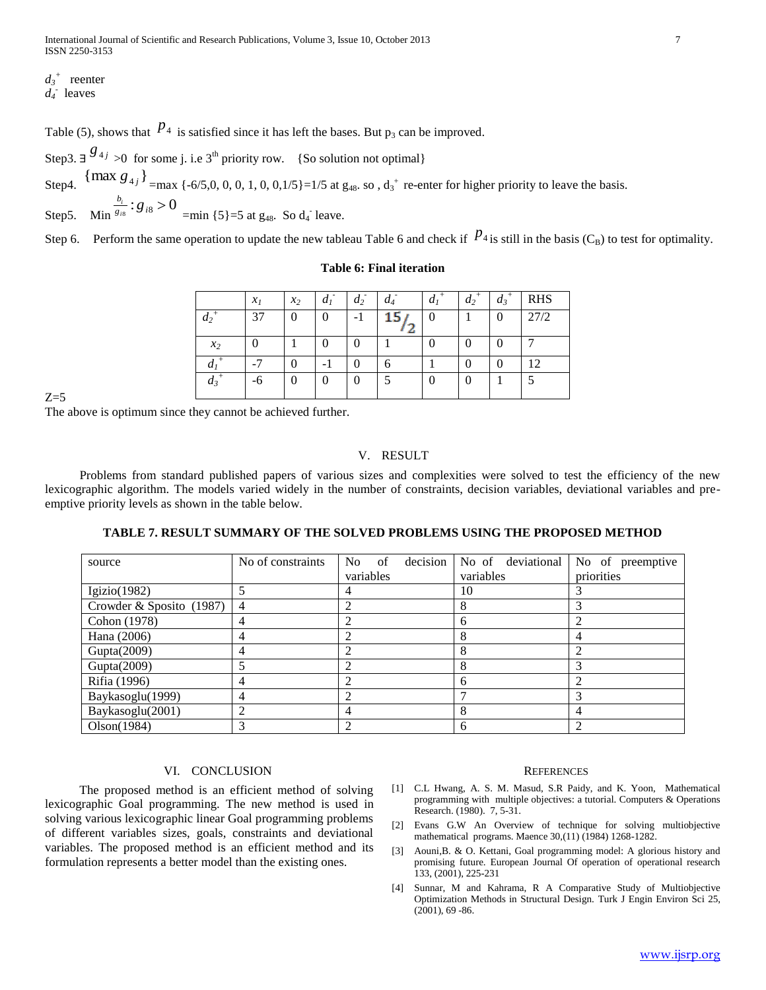$d_3$ <sup>+</sup> reenter

 $d_4$ <sup> $\cdot$ </sup> leaves

Table (5), shows that  $p_4$  is satisfied since it has left the bases. But  $p_3$  can be improved.

Step3.  $\exists$  <sup>*g*<sub>4*j*</sup> >0</sub> for some j. i.e 3<sup>th</sup> priority row. {So solution not optimal}</sup> Step4.  ${\max g_{4j}}_{\text{max} {\{6/5,0,0,0,1,0,0,1/5\}}=1/5 \text{ at } g_{48}.$  so,  $d_3$ <sup>+</sup> re-enter for higher priority to leave the basis.

Step5. Min  $\frac{b_i}{g_{i8}}$ :  $g_{i8} > 0$  $\frac{b_i}{g_{i8}}$ :  $g$ *i*  $=$ min {5}=5 at  $g_{48}$ . So  $d_4$ <sup>-</sup> leave.

Step 6. Perform the same operation to update the new tableau Table 6 and check if  $P_{4}$  is still in the basis (C<sub>B</sub>) to test for optimality.

#### **Table 6: Final iteration**

|                    | $\mathcal{X}_I$ | $x_2$ | $\mu_1$  | a <sub>2</sub> |    | a <sub>1</sub> | $a_2$            | $a_3$ | <b>RHS</b> |
|--------------------|-----------------|-------|----------|----------------|----|----------------|------------------|-------|------------|
| $\boldsymbol{u}_2$ | 37              | 0     | $\theta$ | -              | ı. |                |                  |       | 27/2       |
| $x_2$              |                 |       |          |                |    |                | $\left( \right)$ |       |            |
| и                  | ⇁               | 0     |          |                |    |                |                  |       | 12         |
| $a_3$              | -6              | 0     | $\theta$ | 0              |    |                | O                |       |            |

 $7 - 5$ 

The above is optimum since they cannot be achieved further.

#### V. RESULT

 Problems from standard published papers of various sizes and complexities were solved to test the efficiency of the new lexicographic algorithm. The models varied widely in the number of constraints, decision variables, deviational variables and preemptive priority levels as shown in the table below.

**TABLE 7. RESULT SUMMARY OF THE SOLVED PROBLEMS USING THE PROPOSED METHOD**

| source                     | No of constraints | decision<br>No.<br>of | No of deviational | No of preemptive |
|----------------------------|-------------------|-----------------------|-------------------|------------------|
|                            |                   | variables             | variables         | priorities       |
| Igizio $(1982)$            |                   |                       | 10                |                  |
| Crowder & Sposito $(1987)$ | 4                 |                       |                   |                  |
| Cohon (1978)               |                   |                       | 6                 |                  |
| Hana (2006)                |                   |                       |                   |                  |
| Gupta(2009)                |                   |                       |                   |                  |
| Gupta(2009)                |                   |                       |                   |                  |
| Rifia (1996)               | 4                 |                       | 6                 |                  |
| Baykasoglu(1999)           | 4                 |                       |                   |                  |
| Baykasoglu(2001)           |                   |                       |                   |                  |
| Olson(1984)                |                   |                       | 6                 |                  |

#### VI. CONCLUSION

 The proposed method is an efficient method of solving lexicographic Goal programming. The new method is used in solving various lexicographic linear Goal programming problems of different variables sizes, goals, constraints and deviational variables. The proposed method is an efficient method and its formulation represents a better model than the existing ones.

#### **REFERENCES**

- [1] C.L Hwang, A. S. M. Masud, S.R Paidy, and K. Yoon, Mathematical programming with multiple objectives: a tutorial. Computers & Operations Research. (1980). 7, 5-31.
- [2] Evans G.W An Overview of technique for solving multiobjective mathematical programs. Maence 30,(11) (1984) 1268-1282.
- [3] Aouni,B. & O. Kettani, Goal programming model: A glorious history and promising future. European Journal Of operation of operational research 133, (2001), 225-231
- [4] Sunnar, M and Kahrama, R A Comparative Study of Multiobjective Optimization Methods in Structural Design. Turk J Engin Environ Sci 25, (2001), 69 -86.